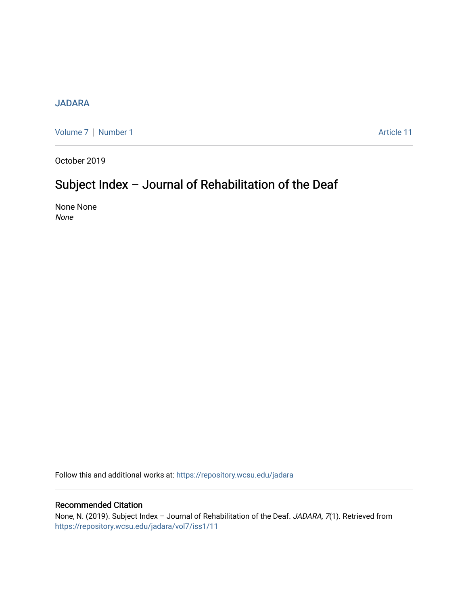## [JADARA](https://repository.wcsu.edu/jadara)

[Volume 7](https://repository.wcsu.edu/jadara/vol7) | [Number 1](https://repository.wcsu.edu/jadara/vol7/iss1) Article 11

October 2019

# Subject Index – Journal of Rehabilitation of the Deaf

None None None

Follow this and additional works at: [https://repository.wcsu.edu/jadara](https://repository.wcsu.edu/jadara?utm_source=repository.wcsu.edu%2Fjadara%2Fvol7%2Fiss1%2F11&utm_medium=PDF&utm_campaign=PDFCoverPages)

## Recommended Citation

None, N. (2019). Subject Index - Journal of Rehabilitation of the Deaf. JADARA, 7(1). Retrieved from [https://repository.wcsu.edu/jadara/vol7/iss1/11](https://repository.wcsu.edu/jadara/vol7/iss1/11?utm_source=repository.wcsu.edu%2Fjadara%2Fvol7%2Fiss1%2F11&utm_medium=PDF&utm_campaign=PDFCoverPages)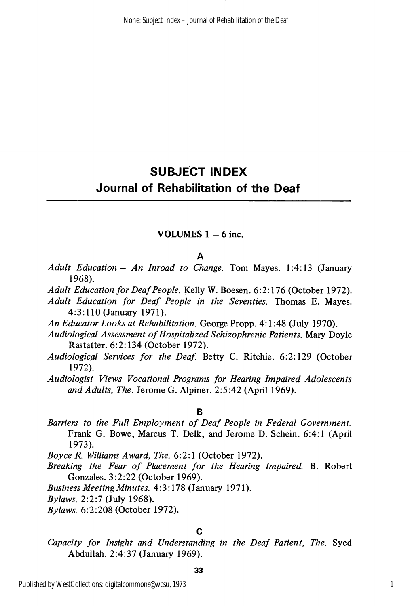## SUBJECT INDEX Journal of Rehabilitation of the Deaf

## VOLUMES  $1 - 6$  inc.

#### A

- Adult Education An Inroad to Change. Tom Mayes.  $1:4:13$  (January 1968).
- Adult Education for Deaf People. Kelly W. Boesen. 6:2:176 (October 1972).
- Adult Education for Deaf People in the Seventies. Thomas E. Mayes. 4:3:110 (January 1971).
- An Educator Looks at Rehabilitation. George Propp. 4:1:48 (July 1970).
- Audiological Assessment of Hospitalized Schizophrenic Patients. Mary Doyle Rastatter. 6:2:134 (October 1972).
- Audiological Services for the Deaf. Betty C. Ritchie. 6:2:129 (October 1972).
- Audiologist Views Vocational Programs for Hearing Impaired Adolescents and Adults, The. Jerome G. Alpiner. 2:5:42 (April 1969).

#### B

Barriers to the Full Employment of Deaf People in Federal Government. Frank G. Bowe, Marcus T. Delk, and Jerome D. Schein. 6:4:1 (April 1973).

Boyce R. Williams Award, The. 6:2:1 (October 1972).

Breaking the Fear of Placement for the Hearing Impaired. B. Robert Gonzales. 3:2:22 (October 1969).

Business Meeting Minutes. 4:3:178 (January 1971).

Bylaws. 2:2:7 (July 1968).

Bylaws. 6:2:208 (October 1972).

## C

Capacity for Insight and Understanding in the Deaf Patient, The. Syed Abdullah. 2:4:37 (January 1969).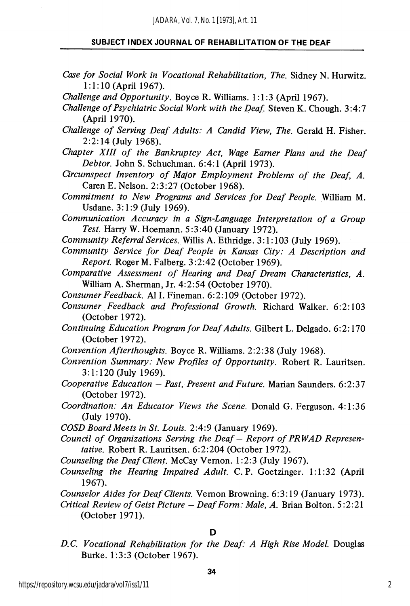- Case for Social Work in Vocational Rehabilitation, The. Sidney N. Hurwitz. 1:1:10 (April 1967).
- Challenge and Opportunity. Boyce R. Williams. 1:1:3 (April 1967).
- Challenge of Psychiatric Social Work with the Deaf. Steven K. Chough. 3:4:7 (April 1970).
- Challenge of Serving Deaf Adults: A Candid View, The. Gerald H. Fisher. 2:2:14 (July 1968).
- Chapter XIII of the Bankruptcy Act, Wage Earner Plans and the Deaf Debtor. John S. Schuchman. 6:4:1 (April 1973).
- Circumspect Inventory of Major Employment Problems of the Deaf, A. Caren E. Nelson. 2:3:27 (October 1968).
- Commitment to New Programs and Services for Deaf People. William M. Usdane. 3:1:9 (July 1969).
- Communication Accuracy in a Sign-Language Interpretation of a Group Test. Harry W. Hoemann. 5:3:40 (January 1972).
- Community Referral Services. Willis A. Ethridge. 3:1:103 (July 1969).
- Community Service for Deaf People in Kansas City: A Description and Report. Roger M. Falberg. 3:2:42 (October 1969).
- Comparative Assessment of Hearing and Deaf Dream Characteristics, A. William A. Sherman, Jr. 4:2:54 (October 1970).
- Consumer Feedback. A11. Fineman. 6:2:109 (October 1972).
- Consumer Feedback and Professional Growth. Richard Walker. 6:2:103 (October 1972).
- Continuing Education Program for Deaf Adults. Gilbert L. Delgado. 6:2:170 (October 1972).
- Convention Afterthoughts. Boyce R. Williams. 2:2:38 (July 1968).
- Convention Summary: New Profiles of Opportunity. Robert R. Lauritsen. 3:1:120 (July 1969).
- Cooperative Education Past, Present and Future. Marian Saunders. 6:2:37 (October 1972).
- Coordination: An Educator Views the Scene. Donald G. Ferguson. 4:1:36 (July 1970).
- COSD Board Meets in St. Louis. 2:4:9 (January 1969).
- Council of Organizations Serving the Deaf Report of PRWAD Represen tative. Robert R. Lauritsen. 6:2:204 (October 1972).
- Counseling the Deaf Client. McCay Vemon. 1:2:3 (July 1967).
- Counseling the Hearing Impaired Adult. C. P. Goetzinger. 1:1:32 (April 1967).
- Counselor Aides for Deaf Clients. Vemon Browning. 6:3:19 (January 1973).
- Critical Review of Geist Picture Deaf Form: Male, A. Brian Bolton. 5:2:21 (October 1971).

## D

D.C. Vocational Rehabilitation for the Deaf: A High Rise Model. Douglas Burke. 1:3:3 (October 1967).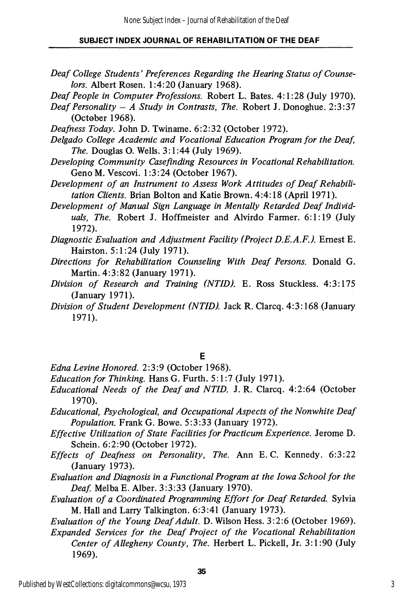- Deaf College Students' Preferences Regarding the Hearing Status of Counse lors. Albert Rosen. 1:4:20 (January 1968).
- Deaf People in Computer Professions. Robert L. Bates. 4:1:28 (July 1970).
- Deaf Personality  $-A$  Study in Contrasts, The. Robert J. Donoghue. 2:3:37 (October 1968).
- Deafness Today. John D. Twiname. 6:2:32 (October 1972).
- Delgado College Academic and Vocational Education Program for the Deaf, The. Douglas O. Wells. 3:1:44 (July 1969).
- Developing Community Casefinding Resources in Vocational Rehabilitation. Geno M. Vescovi. 1:3:24 (October 1967).
- Development of an Instrument to Assess Work Attitudes of Deaf Rehabili tation Clients. Brian Bolton and Katie Brown. 4:4:18 (April 1971).
- Development of Manual Sign Language in Mentally Retarded Deaf Individ uals, The. Robert J. Hoffmeister and Alvirdo Farmer. 6:1:19 (July 1972).
- Diagnostic Evaluation and Adjustment Facility (Project D.E.A.F.). Ernest E. Hairston. 5:1:24 (July 1971).
- Directions for Rehabilitation Counseling With Deaf Persons. Donald G. Martin. 4:3:82 (January 1971).
- Division of Research and Training (NTID). E. Ross Stuckless. 4:3:175 (January 1971).
- Division of Student Development (NTID). Jack R. Clarcq. 4:3:168 (January 1971).

## E

- Edna Levine Honored. 2:3:9 (October 1968).
- Education for Thinking. Hans G. Furth. 5:1:7 (July 1971).
- Educational Needs of the Deaf and NTID. J. R. Clarcq. 4:2:64 (October 1970).
- Educational, Psychological, and Occupational Aspects of the Nonwhite Deaf Population. Frank G. Bowe. 5:3:33 (January 1972).
- Effective Utilization of State Facilities for Practicum Experience. Jerome D. Schein. 6:2:90 (October 1972).
- Effects of Deafness on Personality, The. Ann E.G. Kennedy. 6:3:22 (January 1973).
- Evaluation and Diagnosis in a Functional Program at the Iowa School for the Deaf. Melba E. Alber. 3:3:33 (January 1970).
- Evaluation of a Coordinated Programming Effort for Deaf Retarded. Sylvia M. Hall and Larry Talkington. 6:3:41 (January 1973).
- Evaluation of the Young Deaf Adult. D. Wilson Hess. 3:2:6 (October 1969).
- Expanded Services for the Deaf Project of the Vocational Rehabilitation Center of Allegheny County, The. Herbert L. Pickell, Jr. 3:1:90 (July 1969).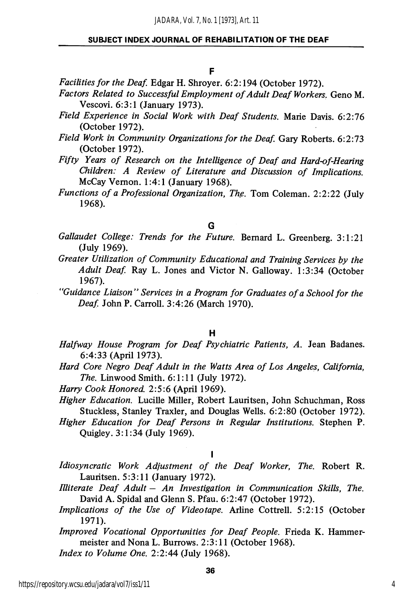## F

Facilities for the Deaf. Edgar H. Shroyer. 6:2:194 (October 1972).

- Factors Related to Successful Employment of Adult Deaf Workers. Geno M. Vescovi. 6:3:1 (January 1973).
- Field Experience in Social Work with Deaf Students. Marie Davis. 6:2:76 (October 1972).
- Field Work in Community Organizations for the Deaf. Gary Roberts. 6:2:73 (October 1972).
- Fifty Years of Research on the Intelligence of Deaf and Hard-of-Hearing Children: A Review of Literature and Discussion of Implications. McCay Vemon. 1:4:1 (January 1968).
- Functions of a Professional Organization, The. Tom Coleman. 2:2:22 (July 1968).

#### G

- Gallaudet College: Trends for the Future. Bernard L. Greenberg. 3:1:21 (July 1969).
- Greater Utilization of Community Educational and Training Services by the Adult Deaf. Ray L. Jones and Victor N. Galloway. 1:3:34 (October 1967).
- "Guidance Liaison" Services in a Program for Graduates of a School for the Deaf. John P. Carroll. 3:4:26 (March 1970).

#### H

- Halfway House Program for Deaf Psychiatric Patients, A. Jean Badanes. 6:4:33 (April 1973).
- Hard Core Negro Deaf Adult in the Watts Area of Los Angeles, California, The. Linwood Smith. 6:1:11 (July 1972).
- Harry Cook Honored. 2:5:6 (April 1969).
- Higher Education. Lucille Miller, Robert Lauritsen, John Schuchman, Ross Stuckless, Stanley Traxler, and Douglas Wells. 6:2:80 (October 1972).
- Higher Education for Deaf Persons in Regular Institutions. Stephen P. Quigley. 3:1:34 (July 1969).

#### $\mathbf{I}$

Idiosyncratic Work Adjustment of the Deaf Worker, The. Robert R. Lauritsen. 5:3:11 (January 1972).

- Illiterate Deaf Adult An Investigation in Communication Skills, The. David A. Spidal and Glenn S. Pfau. 6:2:47 (October 1972).
- Implications of the Use of Videotape. Arline Cottrell. 5:2:15 (October 1971).

Improved Vocational Opportunities for Deaf People. Frieda K. Hammermeister and Nona L. Burrows. 2:3:11 (October 1968).

Index to Volume One. 2:2:44 (July 1968).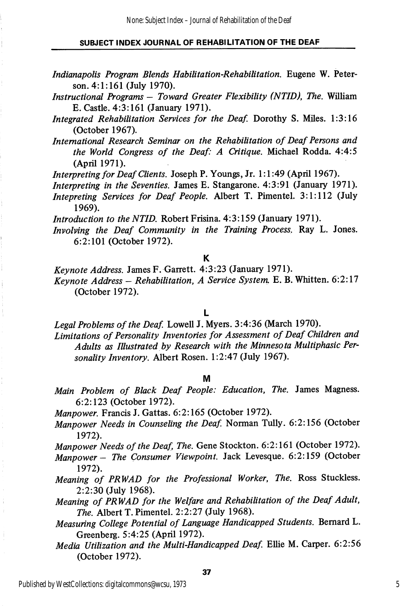- Indianapolis Program Blends Habilitation-Rehabilitation. Eugene W. Peter son. 4:1:161 (July 1970).
- Instructional Programs Toward Greater Flexibility (NTID), The. William E. Castle. 4:3:161 (January 1971).
- Integrated Rehabilitation Services for the Deaf. Dorothy S. Miles. 1:3:16 (October 1967).
- International Research Seminar on the Rehabilitation of Deaf Persons and the World Congress of the Deaf: A Critique. Michael Rodda. 4:4:5 (April 1971).

Interpreting for Deaf Clients. Joseph P. Youngs, Jr. 1:1:49 (April 1967).

- Interpreting in the Seventies. James E. Stangarone. 4:3:91 (January 1971).
- Intepreting Services for Deaf People. Albert T. Pimentel. 3:1:112 (July 1969).

Introduction to the NTID. Robert Frisina. 4:3:159 (January 1971).

Involving the Deaf Community in the Training Process. Ray L. Jones. 6:2:101 (October 1972).

K

Keynote Address. James F. Garrett. 4:3:23 (January 1971).

Keynote Address - Rehabilitation, A Service System, E. B. Whitten.  $6:2:17$ (October 1972).

#### L

Legal Problems of the Deaf. Lowell J. Myers. 3:4:36 (March 1970). Limitations of Personality Inventories for Assessment of Deaf Children and Adults as Illustrated by Research with the Minnesota Multiphasic Per

sonality Inventory. Albert Rosen. 1:2:47 (July 1967).

#### M

Main Problem of Black Deaf People: Education, The. James Magness. 6:2:123 (October 1972).

Manpower. Francis J. Gattas. 6:2:165 (October 1972).

Manpower Needs in Counseling the Deaf. Norman Tully. 6:2:156 (October 1972).

Manpower Needs of the Deaf, The. Gene Stockton. 6:2:161 (October 1972).

- Manpower The Consumer Viewpoint. Jack Levesque. 6:2:159 (October 1972).
- Meaning of PRWAD for the Professional Worker, The. Ross Stuckless. 2:2:30 (July 1968).
- Meaning of PRWAD for the Welfare and Rehabilitation of the Deaf Adult, The. Albert T. Pimentel. 2:2:27 (July 1968).
- Measuring College Potential of Language Handicapped Students. Bernard L. Greenberg. 5:4:25 (April 1972).
- Media Utilization and the Multi-Handicapped Deaf. Ellie M. Carper. 6:2:56 (October 1972).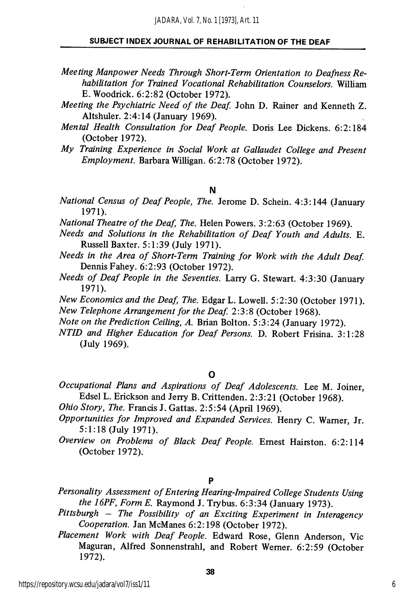- Meeting Manpower Needs Through Short-Term Orientation to Deafness Re habilitation for Trained Vocational Rehabilitation Counselors. William E. Woodrick. 6:2:82 (October 1972).
- Meeting the Psychiatric Need of the Deaf. John D. Rainer and Kenneth Z. Altshuler. 2:4:14 (January 1969).
- Mental Health Consultation for Deaf People. Doris Lee Dickens. 6:2:184 (October 1972).
- My Training Experience in Social Work at Gallaudet College and Present Employment. Barbara Willigan. 6:2:78 (October 1972).
	- N
- National Census of Deaf People, The. Jerome D. Schein. 4:3:144 (January 1971).
- National Theatre of the Deaf, The. Helen Powers. 3:2:63 (October 1969).
- Needs and Solutions in the Rehabilitation of Deaf Youth and Adults. E. Russell Baxter. 5:1:39 (July 1971).
- Needs in the Area of Short-Term Training for Work with the Adult Deaf Dennis Fahey. 6:2:93 (October 1972).
- Needs of Deaf People in the Seventies. Larry G. Stewart. 4:3:30 (January 1971).
- New Economics and the Deaf, The. Edgar L. Lowell. 5:2:30 (October 1971). New Telephone Arrangement for the Deaf. 2:3:8 (October 1968).
- Note on the Prediction Ceiling, A. Brian Bolton. 5:3:24 (January 1972).
- NTID and Higher Education for Deaf Persons. D. Robert Frisina. 3:1:28 (July 1969).

#### O

- Occupational Plans and Aspirations of Deaf Adolescents. Lee M. Joiner, Edsel L. Erickson and Jerry B. Crittenden. 2:3:21 (October 1968).
- Ohio Story, The. Francis J. Gattas. 2:5:54 (April 1969).
- Opportunities for Improved and Expanded Services. Henry C. Warner, Jr. 5:1:18 (July 1971).
- Overview on Problems of Black Deaf People. Ernest Hairston. 6:2:114 (October 1972).

## P

- Personality Assessment of Entering Hearing-Impaired College Students Using the I6PF, Form E. Raymond J. Trybus. 6:3:34 (January 1973).
- Pittsburgh The Possibility of an Exciting Experiment in Interagency Cooperation. Jan McManes 6:2:198 (October 1972).
- Placement Work with Deaf People. Edward Rose, Glenn Anderson, Vic Maguran, Alfred Sonnenstrahl, and Robert Wemer. 6:2:59 (October 1972).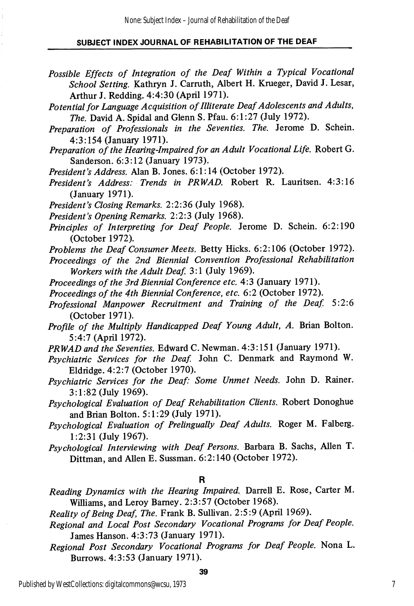- Possible Effects of Integration of the Deaf Within a Typical Vocational School Setting. Kathryn J. Carrath, Albert H. Krueger, David J. Lesar, Arthur J. Redding. 4:4:30 (April 1971).
- Potential for language Acquisition of Illiterate Deaf Adolescents and Adults, The. David A. Spidal and Glenn S. Pfau. 6:1:27 (July 1972).
- Preparation of Professionals in the Seventies. The. Jerome D. Schein. 4:3:154 (January 1971).
- Preparation of the Hearing-Impaired for an Adult Vocational Life. Robert G. Sanderson. 6:3:12 (January 1973).
- President's Address. Alan B. Jones. 6:1:14 (October 1972).
- President's Address: Trends in PRWAD. Robert R. Lauritsen. 4:3:16 (January 1971).
- President's Closing Remarks. 2:2:36 (July 1968).
- President's Opening Remarks. 2:2:3 (July 1968).
- Principles of Interpreting for Deaf People. Jerome D. Schein. 6:2:190 (October 1972).
- Problems the Deaf Consumer Meets. Betty Hicks. 6:2:106 (October 1972).
- Proceedings of the 2nd Biennial Convention Professional Rehabilitation Workers with the Adult Deaf. 3:1 (July 1969).
- Proceedings of the 3rd Biennial Conference etc. 4:3 (January 1971).
- Proceedings of the 4th Biennial Conference, etc. 6:2 (October 1972).
- Professional Manpower Recruitment and Training of the Deaf. 5:2:6 (October 1971).
- Profile of the Multiply Handicapped Deaf Young Adult, A. Brian Bolton. 5:4:7 (April 1972).
- PRWAD and the Seventies. Edward C. Newman. 4:3:151 (January 1971).
- Psychiatric Services for the Deaf. John C. Denmark and Raymond W. Eldiidge. 4:2:7 (October 1970).
- Psychiatric Services for the Deaf: Some Unmet Needs. John D. Rainer. 3:1:82 (July 1969).
- Psychological Evaluation of Deaf Rehabilitation Clients. Robert Donoghue and Brian Bolton. 5:1:29 (July 1971).
- Psychological Evaluation of Prelingually Deaf Adults. Roger M. Falberg. 1:2:31 (July 1967).
- Psychological Interviewing with Deaf Persons. Barbara B. Sachs, Allen T. Dittman, and Allen E. Sussman. 6:2:140 (October 1972).

#### R

Reading Dynamics with the Hearing Impaired. Darrell E. Rose, Carter M. Williams, and Leroy Bamey. 2:3:57 (October 1968).

Reality of Being Deaf, The. Frank B. Sullivan. 2:5:9 (April 1969).

- Regional and Local Post Secondary Vocational Programs for Deaf People. James Hanson. 4:3:73 (January 1971).
- Regional Post Secondary Vocational Programs for Deaf People. Nona L. Burrows. 4:3:53 (January 1971).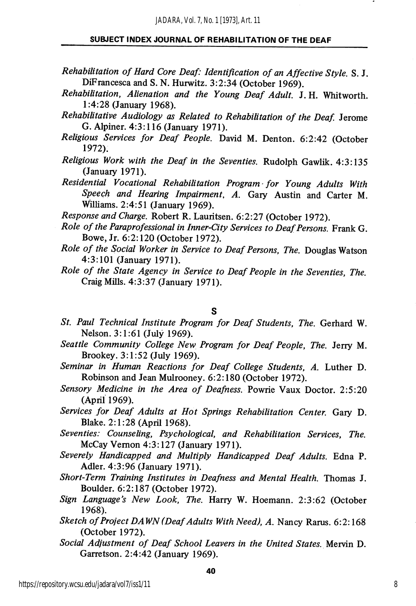- Rehabilitation of Hard Core Deaf: Identification of an Affective Style. S. J. DiFrancesca and S. N. Hurwitz. 3:2:34 (October 1969).
- Rehabilitation, Alienation and the Young Deaf Adult. J. H. Whitworth. 1:4:28 (January 1968).
- Rehabilitative Audiology as Related to Rehabilitation of the Deaf. Jerome G. Alpiner. 4:3:116 (January 1971).
- Religious Services for Deaf People. David M. Denton. 6:2:42 (October 1972).
- Religious Work with the Deaf in the Seventies. Rudolph Gawlik. 4:3:135 (January 1971).
- Residential Vocational Rehabilitation Program -for Young Adults With Speech and Hearing Impairment, A. Gary Austin and Carter M. Williams. 2:4:51 (January 1969).

Response and Charge. Robert R. Lauritsen. 6:2:27 (October 1972).

- Role of the Paraprofessional in Inner-City Services to Deaf Persons. Frank G. Bowe, Jr. 6:2:120 (October 1972).
- Role of the Social Worker in Service to Deaf Persons, The. Douglas Watson 4:3:101 (January 1971).
- Role of the State Agency in Service to Deaf People in the Seventies, The. Craig Mills. 4:3:37 (January 1971).

S

- St. Paul Technical Institute Program for Deaf Students, The. Gerhard W. Nelson. 3:1:61 (July 1969).
- Seattle Community College New Program for Deaf People, The. Jerry M. Brookey. 3:1:52 (July 1969).
- Seminar in Human Reactions for Deaf College Students, A. Luther D. Robinson and Jean Mulrooney. 6:2:180 (October 1972).
- Sensory Medicine in the Area of Deafness. Powrie Vaux Doctor. 2:5:20 (April 1969).
- Services for Deaf Adults at Hot Springs Rehabilitation Center. Gary D. Blake. 2:1:28 (April 1968).
- Seventies: Counseling, Psychological, and Rehabilitation Services, The. McCay Vemon 4:3:127 (January 1971).
- Severely Handicapped and Multiply Handicapped Deaf Adults. Edna P. Adler. 4:3:96 (January 1971).
- Short-Term Training Institutes in Deafness and Mental Health. Thomas J. Boulder. 6:2:187 (October 1972).
- Sign Language's New Look, The. Harry W. Hoemann. 2:3:62 (October 1968).
- Sketch of Project DAWN (Deaf Adults With Need), A. Nancy Rarus. 6:2:168 (October 1972).
- Social Adjustment of Deaf School Leavers in the United States. Mervin D. Garretson. 2:4:42 (January 1969).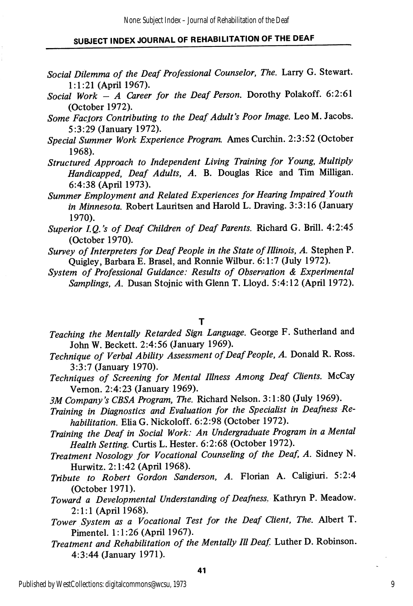- Social Dilemma of the Deaf Professional Counselor, The. Larry G. Stewart. 1:1:21 (April 1967).
- Social Work  $-$  A Career for the Deaf Person. Dorothy Polakoff. 6:2:61 (October 1972).
- Some Facjors Contributing to the Deaf Adult's Poor Image. Leo M. Jacobs. 5:3:29 (January 1972).
- Special Summer Work Experience Program. Ames Curchin. 2:3:52 (October 1968).
- Structured Approach to Independent Living Training for Young, Multiply Handicapped, Deaf Adults, A. B. Douglas Rice and Tim Milligan. 6:4:38 (April 1973).
- Summer Employment and Related Experiences for Hearing Impaired Youth in Minnesota. Robert Lauritsen and Harold L. Draving. 3:3:16 (January 1970).
- Superior I.Q.'s of Deaf Children of Deaf Parents. Richard G. Brill. 4:2:45 (October 1970).
- Survey of Interpreters for Deaf People in the State of Illinois, A. Stephen P. Quigley, Barbara E. Brasel, and Ronnie Wilbur. 6:1:7 (July 1972).
- System of Professional Guidance: Results of Observation & Experimental Samplings, A. Dusan Stojnic with Glenn T. Lloyd. 5:4:12 (April 1972).

#### T

- Teaching the Mentally Retarded Sign Language. George F. Sutherland and John W. Beckett. 2:4:56 (January 1969).
- Technique of Verbal Ability Assessment of Deaf People, A. Donald R. Ross. 3:3:7 (January 1970).
- Techniques of Screening for Mental Illness Among Deaf Clients. McCay Vemon. 2:4:23 (January 1969).
- 3M Company's CBSA Program, The. Richard Nelson. 3:1:80 (July 1969).
- Training in Diagnostics and Evaluation for the Specialist in Deafness Re habilitation. Elia G. Nickoloff. 6:2:98 (October 1972).
- Training the Deaf in Social Work: An Undergraduate Program in a Mental Health Setting. Curtis L. Hester. 6:2:68 (October 1972).
- Treatment Nosology for Vocational Counseling of the Deaf, A. Sidney N. Hurwitz. 2:1:42 (April 1968).
- Tribute to Robert Gordon Sanderson, A. Florian A. Caligiuri. 5:2:4 (October 1971).
- Toward a Developmental Understanding of Deafness. Kathryn P. Meadow. 2:1:1 (April 1968).
- Tower System as a Vocational Test for the Deaf Client, The. Albert T. Pimentel. 1:1:26 (April 1967).
- Treatment and Rehabilitation of the Mentally III Deaf Luther D. Robinson. 4:3:44 (January 1971).